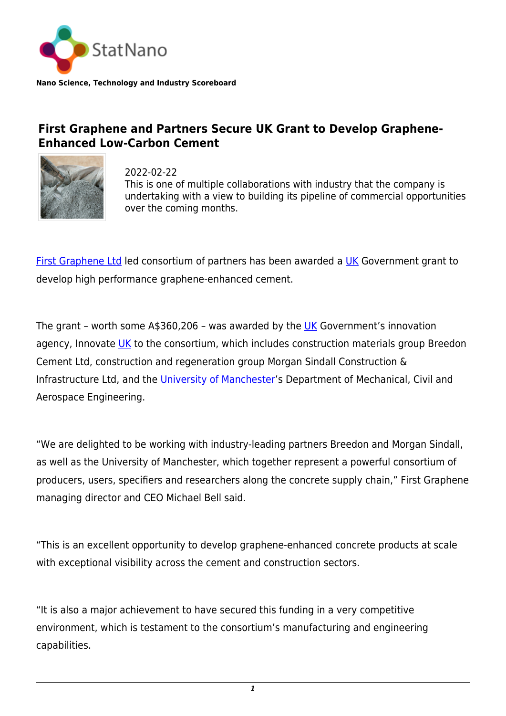

**Nano Science, Technology and Industry Scoreboard**

## **First Graphene and Partners Secure UK Grant to Develop Graphene-Enhanced Low-Carbon Cement**



2022-02-22 This is one of multiple collaborations with industry that the company is undertaking with a view to building its pipeline of commercial opportunities over the coming months.

[First Graphene Ltd](https://firstgraphene.net/) led consortium of partners has been awarded a [UK](http://statnano.com/country/UK) Government grant to develop high performance graphene-enhanced cement.

The grant - worth some  $A$360,206$  - was awarded by the [UK](http://statnano.com/country/UK) Government's innovation agency, Innovate [UK](http://statnano.com/country/UK) to the consortium, which includes construction materials group Breedon Cement Ltd, construction and regeneration group Morgan Sindall Construction & Infrastructure Ltd, and the [University of Manchester'](https://statnano.com/org/University-of-Manchester)s Department of Mechanical, Civil and Aerospace Engineering.

"We are delighted to be working with industry-leading partners Breedon and Morgan Sindall, as well as the University of Manchester, which together represent a powerful consortium of producers, users, specifiers and researchers along the concrete supply chain," First Graphene managing director and CEO Michael Bell said.

"This is an excellent opportunity to develop graphene-enhanced concrete products at scale with exceptional visibility across the cement and construction sectors.

"It is also a major achievement to have secured this funding in a very competitive environment, which is testament to the consortium's manufacturing and engineering capabilities.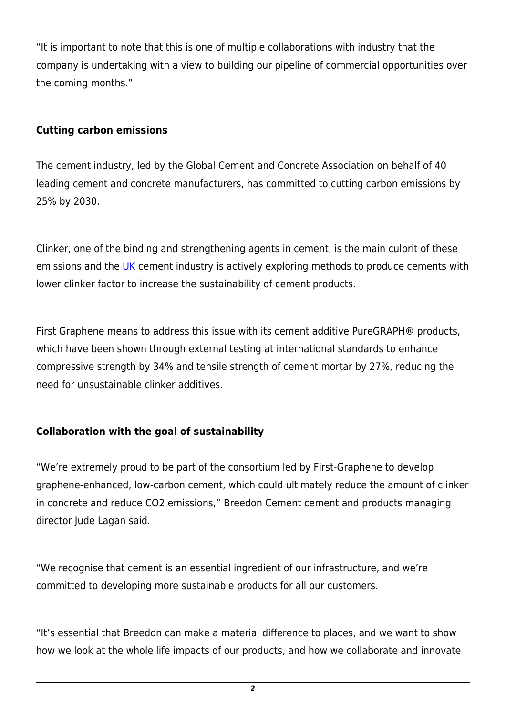"It is important to note that this is one of multiple collaborations with industry that the company is undertaking with a view to building our pipeline of commercial opportunities over the coming months."

## **Cutting carbon emissions**

The cement industry, led by the Global Cement and Concrete Association on behalf of 40 leading cement and concrete manufacturers, has committed to cutting carbon emissions by 25% by 2030.

Clinker, one of the binding and strengthening agents in cement, is the main culprit of these emissions and the [UK](http://statnano.com/country/UK) cement industry is actively exploring methods to produce cements with lower clinker factor to increase the sustainability of cement products.

First Graphene means to address this issue with its cement additive PureGRAPH® products, which have been shown through external testing at international standards to enhance compressive strength by 34% and tensile strength of cement mortar by 27%, reducing the need for unsustainable clinker additives.

## **Collaboration with the goal of sustainability**

"We're extremely proud to be part of the consortium led by First-Graphene to develop graphene-enhanced, low-carbon cement, which could ultimately reduce the amount of clinker in concrete and reduce CO2 emissions," Breedon Cement cement and products managing director Jude Lagan said.

"We recognise that cement is an essential ingredient of our infrastructure, and we're committed to developing more sustainable products for all our customers.

"It's essential that Breedon can make a material difference to places, and we want to show how we look at the whole life impacts of our products, and how we collaborate and innovate